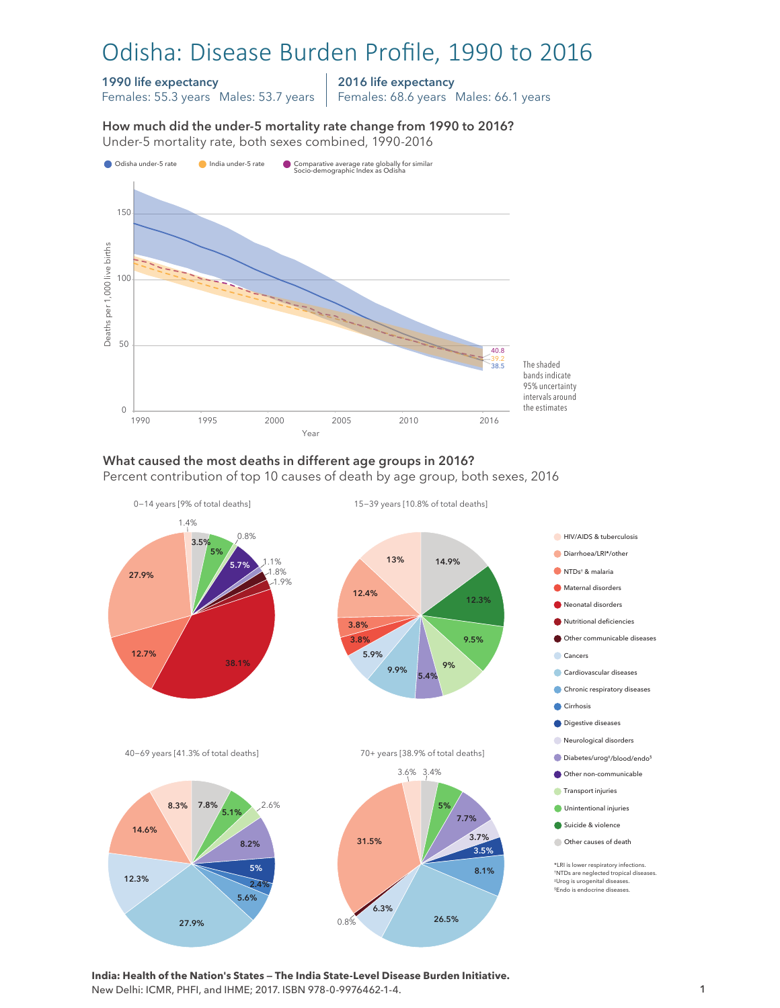# Odisha: Disease Burden Profile, 1990 to 2016

#### 1990 life expectancy

Females: 55.3 years Males: 53.7 years

2016 life expectancy

Females: 68.6 years Males: 66.1 years

How much did the under-5 mortality rate change from 1990 to 2016? Under-5 mortality rate, both sexes combined, 1990-2016 Under-5 mortality rate, both sexes combined, 1990-2016 How much did the under-5 mortality rate change from 1990 to 2016?



## What caused the most deaths in different age groups in 2016?

Percent contribution of top 10 causes of death by age group, both sexes, 2016



**India: Health of the Nation's States — The India State-Level Disease Burden Initiative.**  New Delhi: ICMR, PHFI, and IHME; 2017. ISBN 978-0-9976462-1-4.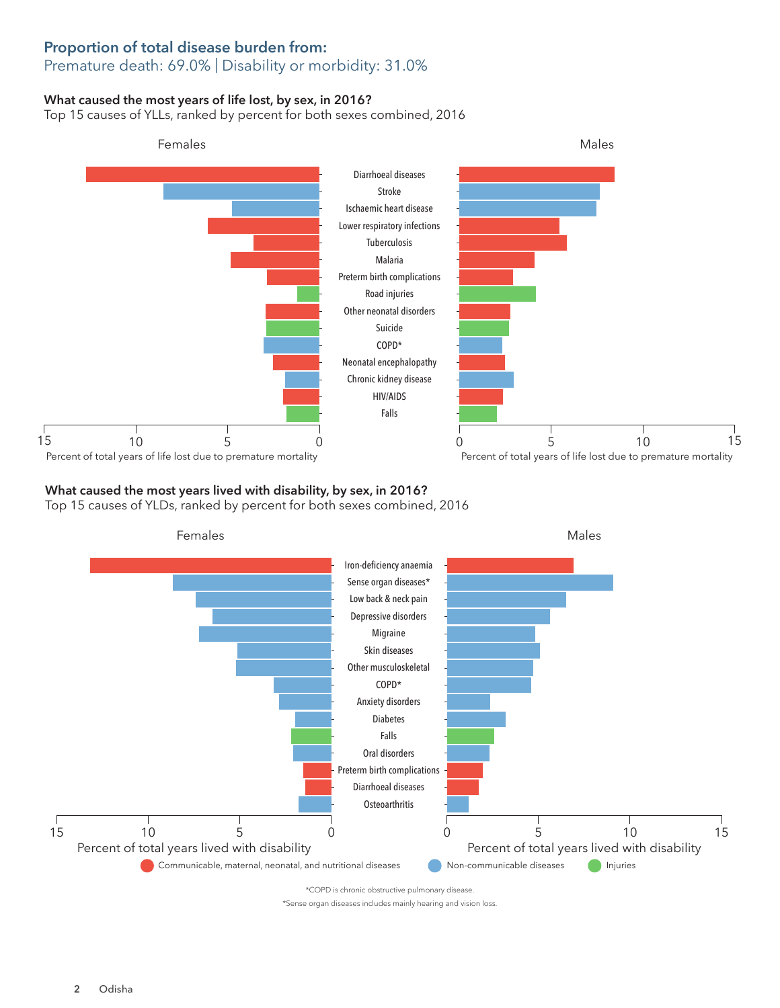### Proportion of total disease burden from: Premature death: 69.0% | Disability or morbidity: 31.0%

### What caused the most years of life lost, by sex, in 2016?

Top 15 causes of YLLs, ranked by percent for both sexes combined, 2016



## What caused the most years lived with disability, by sex, in 2016?

Top 15 causes of YLDs, ranked by percent for both sexes combined, 2016



\*COPD is chronic obstructive pulmonary disease.

\*Sense organ diseases includes mainly hearing and vision loss.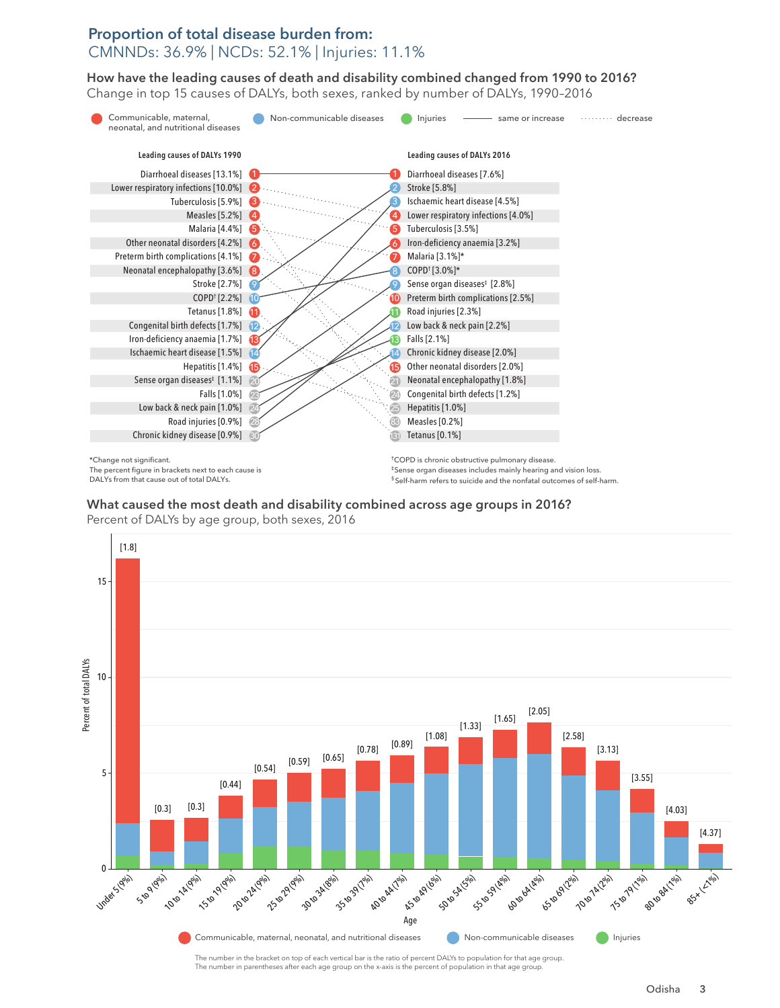## Proportion of total disease burden from: CMNNDs: 36.9% | NCDs: 52.1% | Injuries: 11.1%

How have the leading causes of death and disability combined changed from 1990 to 2016? How have the leading causes of death and disability combined changed from 1990 to 2016? Change in top 15 causes of DALYs, both sexes, ranked by number of DALYs, 1990–2016 Change in top 15 causes of DALYs, both sexes, ranked by number of DALYs, 1990–2016



\*Change not significant. The percent figure in brackets next to each cause is DALYs from that cause out of total DALYs.

†COPD is chronic obstructive pulmonary disease. ‡Sense organ diseases includes mainly hearing and vision loss. § Self-harm refers to suicide and the nonfatal outcomes of self-harm.

What caused the most death and disability combined across age groups in 2016? What caused the most death and disability combined across age groups in 2016?





The number in the bracket on top of each vertical bar is the ratio of percent DALYs to population for that age group. The number in parentheses after each age group on the x-axis is the percent of population in that age grou